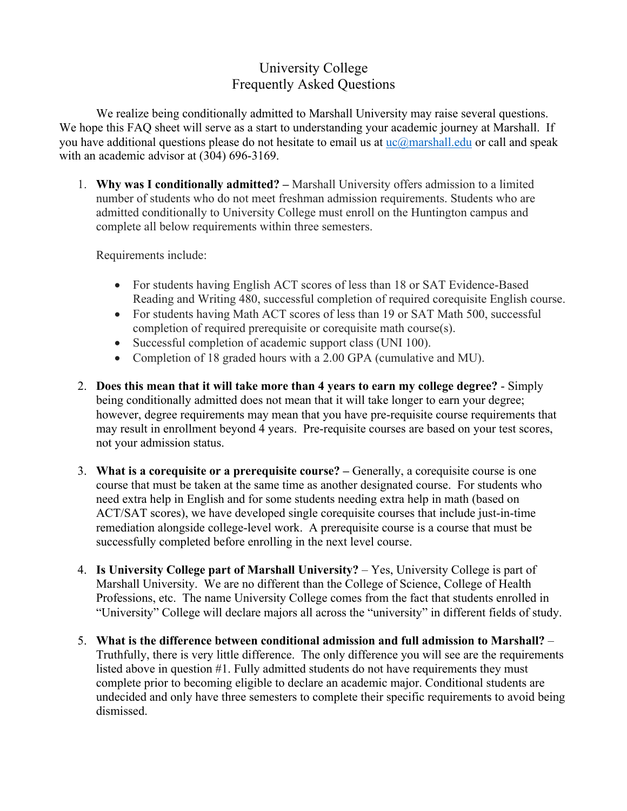## University College Frequently Asked Questions

We realize being conditionally admitted to Marshall University may raise several questions. We hope this FAQ sheet will serve as a start to understanding your academic journey at Marshall. If you have additional questions please do not hesitate to email us at  $\mu$ c $\alpha$ marshall.edu or call and speak with an academic advisor at (304) 696-3169.

1. **Why was I conditionally admitted? –** Marshall University offers admission to a limited number of students who do not meet freshman admission requirements. Students who are admitted conditionally to University College must enroll on the Huntington campus and complete all below requirements within three semesters.

Requirements include:

- For students having English ACT scores of less than 18 or SAT Evidence-Based Reading and Writing 480, successful completion of required corequisite English course.
- For students having Math ACT scores of less than 19 or SAT Math 500, successful completion of required prerequisite or corequisite math course(s).
- Successful completion of academic support class (UNI 100).
- Completion of 18 graded hours with a 2.00 GPA (cumulative and MU).
- 2. **Does this mean that it will take more than 4 years to earn my college degree?** Simply being conditionally admitted does not mean that it will take longer to earn your degree; however, degree requirements may mean that you have pre-requisite course requirements that may result in enrollment beyond 4 years. Pre-requisite courses are based on your test scores, not your admission status.
- 3. **What is a corequisite or a prerequisite course? –** Generally, a corequisite course is one course that must be taken at the same time as another designated course. For students who need extra help in English and for some students needing extra help in math (based on ACT/SAT scores), we have developed single corequisite courses that include just-in-time remediation alongside college-level work. A prerequisite course is a course that must be successfully completed before enrolling in the next level course.
- 4. **Is University College part of Marshall University?** Yes, University College is part of Marshall University. We are no different than the College of Science, College of Health Professions, etc. The name University College comes from the fact that students enrolled in "University" College will declare majors all across the "university" in different fields of study.
- 5. **What is the difference between conditional admission and full admission to Marshall?**  Truthfully, there is very little difference. The only difference you will see are the requirements listed above in question #1. Fully admitted students do not have requirements they must complete prior to becoming eligible to declare an academic major. Conditional students are undecided and only have three semesters to complete their specific requirements to avoid being dismissed.